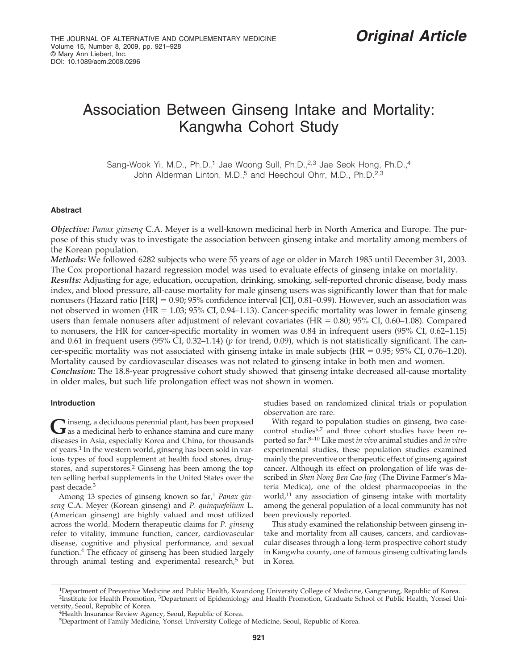# Association Between Ginseng Intake and Mortality: Kangwha Cohort Study

Sang-Wook Yi, M.D., Ph.D.,<sup>1</sup> Jae Woong Sull, Ph.D.,<sup>2,3</sup> Jae Seok Hong, Ph.D.,<sup>4</sup> John Alderman Linton, M.D.,<sup>5</sup> and Heechoul Ohrr, M.D., Ph.D.<sup>2,3</sup>

## **Abstract**

*Objective: Panax ginseng* C.A. Meyer is a well-known medicinal herb in North America and Europe. The purpose of this study was to investigate the association between ginseng intake and mortality among members of the Korean population.

*Methods:* We followed 6282 subjects who were 55 years of age or older in March 1985 until December 31, 2003. The Cox proportional hazard regression model was used to evaluate effects of ginseng intake on mortality.

*Results:* Adjusting for age, education, occupation, drinking, smoking, self-reported chronic disease, body mass index, and blood pressure, all-cause mortality for male ginseng users was significantly lower than that for male nonusers (Hazard ratio [HR] - 0.90; 95% confidence interval [CI], 0.81–0.99). However, such an association was not observed in women (HR = 1.03; 95% CI, 0.94–1.13). Cancer-specific mortality was lower in female ginseng users than female nonusers after adjustment of relevant covariates ( $HR = 0.80$ ;  $95\%$  CI, 0.60–1.08). Compared to nonusers, the HR for cancer-specific mortality in women was 0.84 in infrequent users (95% CI, 0.62–1.15) and 0.61 in frequent users (95% CI, 0.32–1.14) (*p* for trend, 0.09), which is not statistically significant. The cancer-specific mortality was not associated with ginseng intake in male subjects ( $HR = 0.95$ ;  $95\%$  CI,  $0.76-1.20$ ). Mortality caused by cardiovascular diseases was not related to ginseng intake in both men and women.

*Conclusion:* The 18.8-year progressive cohort study showed that ginseng intake decreased all-cause mortality in older males, but such life prolongation effect was not shown in women.

## **Introduction**

Ginseng, a deciduous perennial plant, has been proposed<br>as a medicinal herb to enhance stamina and cure many diseases in Asia, especially Korea and China, for thousands of years.<sup>1</sup> In the western world, ginseng has been sold in various types of food supplement at health food stores, drugstores, and superstores.<sup>2</sup> Ginseng has been among the top ten selling herbal supplements in the United States over the past decade.<sup>3</sup>

Among 13 species of ginseng known so far,<sup>1</sup> Panax gin*seng* C.A. Meyer (Korean ginseng) and *P. quinquefolium* L. (American ginseng) are highly valued and most utilized across the world. Modern therapeutic claims for *P. ginseng* refer to vitality, immune function, cancer, cardiovascular disease, cognitive and physical performance, and sexual function.<sup>4</sup> The efficacy of ginseng has been studied largely through animal testing and experimental research,<sup>5</sup> but studies based on randomized clinical trials or population observation are rare.

With regard to population studies on ginseng, two casecontrol studies<sup>6,7</sup> and three cohort studies have been reported so far.8–10 Like most *in vivo* animal studies and *in vitro* experimental studies, these population studies examined mainly the preventive or therapeutic effect of ginseng against cancer. Although its effect on prolongation of life was described in *Shen Nong Ben Cao Jing* (The Divine Farmer's Materia Medica), one of the oldest pharmacopoeias in the world, $11$  any association of ginseng intake with mortality among the general population of a local community has not been previously reported.

This study examined the relationship between ginseng intake and mortality from all causes, cancers, and cardiovascular diseases through a long-term prospective cohort study in Kangwha county, one of famous ginseng cultivating lands in Korea.

<sup>1</sup>Department of Preventive Medicine and Public Health, Kwandong University College of Medicine, Gangneung, Republic of Korea. 2Institute for Health Promotion, 3Department of Epidemiology and Health Promotion, Graduate School of Public Health, Yonsei Uni-

versity, Seoul, Republic of Korea.<br><sup>4</sup>Health Insurance Review Agency, Seoul, Republic of Korea.

<sup>5</sup>Department of Family Medicine, Yonsei University College of Medicine, Seoul, Republic of Korea.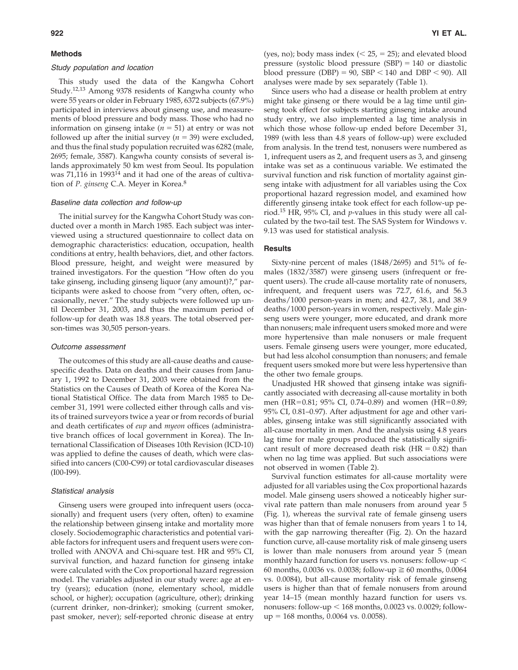#### **Methods**

#### Study population and location

This study used the data of the Kangwha Cohort Study.12,13 Among 9378 residents of Kangwha county who were 55 years or older in February 1985, 6372 subjects (67.9%) participated in interviews about ginseng use, and measurements of blood pressure and body mass. Those who had no information on ginseng intake  $(n = 51)$  at entry or was not followed up after the initial survey  $(n = 39)$  were excluded, and thus the final study population recruited was 6282 (male, 2695; female, 3587). Kangwha county consists of several islands approximately 50 km west from Seoul. Its population was 71,116 in 1993<sup>14</sup> and it had one of the areas of cultivation of *P. ginseng* C.A. Meyer in Korea.8

#### Baseline data collection and follow-up

The initial survey for the Kangwha Cohort Study was conducted over a month in March 1985. Each subject was interviewed using a structured questionnaire to collect data on demographic characteristics: education, occupation, health conditions at entry, health behaviors, diet, and other factors. Blood pressure, height, and weight were measured by trained investigators. For the question "How often do you take ginseng, including ginseng liquor (any amount)?," participants were asked to choose from "very often, often, occasionally, never." The study subjects were followed up until December 31, 2003, and thus the maximum period of follow-up for death was 18.8 years. The total observed person-times was 30,505 person-years.

#### Outcome assessment

The outcomes of this study are all-cause deaths and causespecific deaths. Data on deaths and their causes from January 1, 1992 to December 31, 2003 were obtained from the Statistics on the Causes of Death of Korea of the Korea National Statistical Office. The data from March 1985 to December 31, 1991 were collected either through calls and visits of trained surveyors twice a year or from records of burial and death certificates of *eup* and *myeon* offices (administrative branch offices of local government in Korea). The International Classification of Diseases 10th Revision (ICD-10) was applied to define the causes of death, which were classified into cancers (C00-C99) or total cardiovascular diseases (I00-I99).

#### Statistical analysis

Ginseng users were grouped into infrequent users (occasionally) and frequent users (very often, often) to examine the relationship between ginseng intake and mortality more closely. Sociodemographic characteristics and potential variable factors for infrequent users and frequent users were controlled with ANOVA and Chi-square test. HR and 95% CI, survival function, and hazard function for ginseng intake were calculated with the Cox proportional hazard regression model. The variables adjusted in our study were: age at entry (years); education (none, elementary school, middle school, or higher); occupation (agriculture, other); drinking (current drinker, non-drinker); smoking (current smoker, past smoker, never); self-reported chronic disease at entry (yes, no); body mass index  $( $25, = 25$ )$ ; and elevated blood pressure (systolic blood pressure  $(SBP) = 140$  or diastolic blood pressure (DBP) = 90, SBP  $<$  140 and DBP  $<$  90). All analyses were made by sex separately (Table 1).

Since users who had a disease or health problem at entry might take ginseng or there would be a lag time until ginseng took effect for subjects starting ginseng intake around study entry, we also implemented a lag time analysis in which those whose follow-up ended before December 31, 1989 (with less than 4.8 years of follow-up) were excluded from analysis. In the trend test, nonusers were numbered as 1, infrequent users as 2, and frequent users as 3, and ginseng intake was set as a continuous variable. We estimated the survival function and risk function of mortality against ginseng intake with adjustment for all variables using the Cox proportional hazard regression model, and examined how differently ginseng intake took effect for each follow-up period.<sup>15</sup> HR, 95% CI, and *p*-values in this study were all calculated by the two-tail test. The SAS System for Windows v. 9.13 was used for statistical analysis.

#### **Results**

Sixty-nine percent of males (1848/2695) and 51% of females (1832/3587) were ginseng users (infrequent or frequent users). The crude all-cause mortality rate of nonusers, infrequent, and frequent users was 72.7, 61.6, and 56.3 deaths/1000 person-years in men; and 42.7, 38.1, and 38.9 deaths/1000 person-years in women, respectively. Male ginseng users were younger, more educated, and drank more than nonusers; male infrequent users smoked more and were more hypertensive than male nonusers or male frequent users. Female ginseng users were younger, more educated, but had less alcohol consumption than nonusers; and female frequent users smoked more but were less hypertensive than the other two female groups.

Unadjusted HR showed that ginseng intake was significantly associated with decreasing all-cause mortality in both men (HR-0.81; 95% CI, 0.74–0.89) and women (HR-0.89; 95% CI, 0.81–0.97). After adjustment for age and other variables, ginseng intake was still significantly associated with all-cause mortality in men. And the analysis using 4.8 years lag time for male groups produced the statistically significant result of more decreased death risk  $(HR = 0.82)$  than when no lag time was applied. But such associations were not observed in women (Table 2).

Survival function estimates for all-cause mortality were adjusted for all variables using the Cox proportional hazards model. Male ginseng users showed a noticeably higher survival rate pattern than male nonusers from around year 5 (Fig. 1), whereas the survival rate of female ginseng users was higher than that of female nonusers from years 1 to 14, with the gap narrowing thereafter (Fig. 2). On the hazard function curve, all-cause mortality risk of male ginseng users is lower than male nonusers from around year 5 (mean monthly hazard function for users vs. nonusers: follow-up 60 months, 0.0036 vs. 0.0038; follow-up  $\geq 60$  months, 0.0064 vs. 0.0084), but all-cause mortality risk of female ginseng users is higher than that of female nonusers from around year 14–15 (mean monthly hazard function for users vs. nonusers: follow-up  $< 168$  months, 0.0023 vs. 0.0029; follow $up = 168$  months,  $0.0064$  vs.  $0.0058$ ).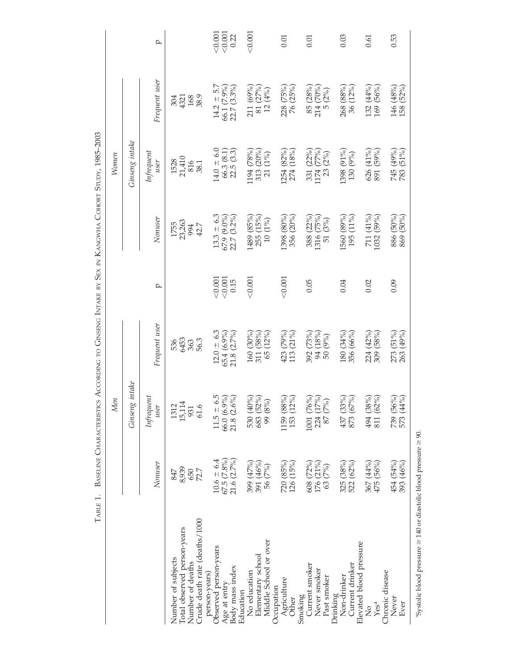|                                                                                                        | TABLE 1.                                           | <b>BASELINE CHARACTERISTICS</b>                                                 | ACCORDING TO GINSENG INTAKE BY SEX IN KANGWHA COHORT STUDY, 1985-2003 |                       |                                                                                               |                                                                               |                                              |                                 |
|--------------------------------------------------------------------------------------------------------|----------------------------------------------------|---------------------------------------------------------------------------------|-----------------------------------------------------------------------|-----------------------|-----------------------------------------------------------------------------------------------|-------------------------------------------------------------------------------|----------------------------------------------|---------------------------------|
|                                                                                                        |                                                    | Men                                                                             |                                                                       |                       |                                                                                               | Women                                                                         |                                              |                                 |
|                                                                                                        |                                                    | intake<br>Ginseng                                                               |                                                                       |                       |                                                                                               | Ginseng intake                                                                |                                              |                                 |
|                                                                                                        | Nonuser                                            | Infrequent<br>user                                                              | Frequent user                                                         | p                     | Nonuser                                                                                       | Infrequent<br>user                                                            | Frequent user                                | p                               |
| Crude death rate (deaths/1000<br>Total observed person-years<br>Number of subjects<br>Number of deaths | 8,939<br>650<br>72.7<br>847                        | 1312<br>15,114<br>61.6<br>931                                                   | 6453<br>56.3<br>536<br>363                                            |                       | 23,263<br>1755<br>994<br>42.7                                                                 | $1528$<br>$21,410$<br>816<br>38.1                                             | 168<br>38.9<br>304<br>4321                   |                                 |
| Observed person-years<br>Body mass index<br>person-years)<br>Age at entry                              | $10.6 = 6.4$<br>$67.5$ $(7.8\%)$<br>21.6 $(2.7\%)$ | $\begin{array}{c} 11.5 \pm 6.5 \\ 66.0 \ (6.9\%) \\ 21.8 \ (2.6\%) \end{array}$ | $12.0 \pm 6.3$<br>$\frac{65.4}{21.8} \frac{(6.9\%)}{(2.7\%)}$         | $\frac{0.001}{0.001}$ | $13.3 \pm 6.3$<br>67.9 (9.0%)<br>$(3.2\%)$<br>22.7                                            | $14.0 \pm 6.0$<br>$66.3(8.1)$<br>22.5 $(3.3)$                                 | $14.2 \pm 5.7$<br>66.1 (7.9%)<br>22.7 (3.3%) | < 0.001<br>$\frac{0.001}{0.22}$ |
| Middle School or over<br>Elementary school<br>No education<br>Education                                | 391 (46%)<br>399 (47%)<br>56 (7%)                  | 530 (40%)<br>683 (52%)<br>99 (8%)                                               | $(30\%)$<br>$(58%)$<br>(12%)<br>160<br>65<br>311                      | < 0.001               | $\begin{array}{c} (85\% \\ (15\%) \\ (19\%) \\ \end{array}$<br>1489<br>255<br>$\overline{10}$ | $\begin{array}{c} 1194 \; (78\%) \\ 313 \; (20\%) \\ 21 \; (1\%) \end{array}$ | 211 (69%)<br>81 $(27%)$<br>12 $(4%)$<br>81   | < 0.001                         |
| Agriculture<br>Occupation<br>Other                                                                     | 126(15%)<br>720 (85%)                              | $1159\ (88\%)\\ 153\ (12\%)$                                                    | $(79%)$<br>$(21%)$<br>423<br>113                                      | < 0.001               | 1398 (80%)<br>356 (20%)                                                                       | 1254 (82%)<br>274 (18%)                                                       | 228 (75%)<br>76 (25%)                        | 0.01                            |
| Current smoker<br>Never smoker<br>Past smoker<br>Smoking                                               | 176 (21%)<br>608 (72%)<br>63 (7%)                  | $\begin{array}{c} 1001 \; (76\%) \\ 224 \; (17\%) \\ 87 \; (7\%) \end{array}$   | $(73%)$<br>$(18%)$<br>$(9%)$<br>392<br>240                            | 0.05                  | (22%)<br>(75%)<br>(3%)<br>1316 (<br>388<br>51                                                 | 331 (22%)<br>$(77%)$<br>(2%)<br>1174<br>23                                    | $85 (28%)214 (70%)5 (2%)$                    | 0.01                            |
| Current drinker<br>Non-drinker<br>Drinking                                                             | 522 (62%)<br>325 (38%)                             | 437 (33%)<br>873 (67%)                                                          | 180 (34%)<br>356 (66%)                                                | 0.04                  | 1560 (89%)<br>(11%)<br>195                                                                    | 1398 (91%)<br>130 (9%)                                                        | 268 (88%)<br>36 (12%)                        | 0.03                            |
| Elevated blood pressure<br>Chronic disease<br>Yesa<br>$\frac{1}{2}$                                    | 475 (56%)<br>367 (44%)                             | 494 (38%)<br>811 (62%)                                                          | 224 (42%)<br>309 (58%)                                                | 0.02                  | 711 (41%)<br>1032 (59%)                                                                       | 626 (41%)<br>891 (59%)                                                        | 132 (44%)<br>169 (56%)                       | 0.61                            |
| Never<br>Ever                                                                                          | 393 (46%)<br>454 (54%)                             | 739 (56%)<br>573 (44%)                                                          | $(51\%)$<br>(49%)<br>273<br>263                                       | 0.09                  | 886 (50%)<br>$(50\%)$<br>869                                                                  | 745 (49%)<br>783 (51%)                                                        | (52%)<br>146 (48%)<br>158                    | 0.53                            |
|                                                                                                        |                                                    |                                                                                 |                                                                       |                       |                                                                                               |                                                                               |                                              |                                 |

"Systolic blood pressure  $\geq$  140 or diastolic blood pressure  $\geq$  90.  $\gamma$ Systolic blood pressure  $\geq 140$  or diastolic blood pressure  $\geq 90.5$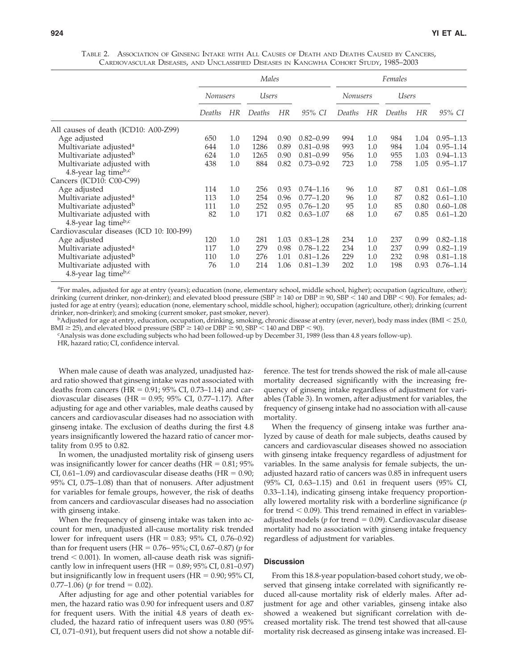TABLE 2. ASSOCIATION OF GINSENG INTAKE WITH ALL CAUSES OF DEATH AND DEATHS CAUSED BY CANCERS, CARDIOVASCULAR DISEASES, AND UNCLASSIFIED DISEASES IN KANGWHA COHORT STUDY, 1985–2003

|                                                       |                 |           | Males  |      |               | Females         |           |        |      |               |
|-------------------------------------------------------|-----------------|-----------|--------|------|---------------|-----------------|-----------|--------|------|---------------|
|                                                       | <b>Nonusers</b> |           | Users  |      |               | <b>Nonusers</b> |           | Users  |      |               |
|                                                       | Deaths          | <b>HR</b> | Deaths | HR   | 95% CI        | Deaths          | <b>HR</b> | Deaths | HR   | 95% CI        |
| All causes of death (ICD10: A00-Z99)                  |                 |           |        |      |               |                 |           |        |      |               |
| Age adjusted                                          | 650             | $1.0\,$   | 1294   | 0.90 | $0.82 - 0.99$ | 994             | 1.0       | 984    | 1.04 | $0.95 - 1.13$ |
| Multivariate adjusted <sup>a</sup>                    | 644             | 1.0       | 1286   | 0.89 | $0.81 - 0.98$ | 993             | 1.0       | 984    | 1.04 | $0.95 - 1.14$ |
| Multivariate adjusted <sup>b</sup>                    | 624             | $1.0\,$   | 1265   | 0.90 | $0.81 - 0.99$ | 956             | 1.0       | 955    | 1.03 | $0.94 - 1.13$ |
| Multivariate adjusted with                            | 438             | $1.0\,$   | 884    | 0.82 | $0.73 - 0.92$ | 723             | 1.0       | 758    | 1.05 | $0.95 - 1.17$ |
| 4.8-year lag time $b,c$                               |                 |           |        |      |               |                 |           |        |      |               |
| Cancers (ICD10: C00-C99)                              |                 |           |        |      |               |                 |           |        |      |               |
| Age adjusted                                          | 114             | 1.0       | 256    | 0.93 | $0.74 - 1.16$ | 96              | 1.0       | 87     | 0.81 | $0.61 - 1.08$ |
| Multivariate adjusted <sup>a</sup>                    | 113             | 1.0       | 254    | 0.96 | $0.77 - 1.20$ | 96              | 1.0       | 87     | 0.82 | $0.61 - 1.10$ |
| Multivariate adjusted <sup>b</sup>                    | 111             | 1.0       | 252    | 0.95 | $0.76 - 1.20$ | 95              | 1.0       | 85     | 0.80 | $0.60 - 1.08$ |
| Multivariate adjusted with                            | 82              | $1.0\,$   | 171    | 0.82 | $0.63 - 1.07$ | 68              | 1.0       | 67     | 0.85 | $0.61 - 1.20$ |
| 4.8-year lag time $b,c$                               |                 |           |        |      |               |                 |           |        |      |               |
| Cardiovascular diseases (ICD 10: I00-I99)             |                 |           |        |      |               |                 |           |        |      |               |
| Age adjusted                                          | 120             | 1.0       | 281    | 1.03 | $0.83 - 1.28$ | 234             | 1.0       | 237    | 0.99 | $0.82 - 1.18$ |
| Multivariate adjusted <sup>a</sup>                    | 117             | $1.0\,$   | 279    | 0.98 | $0.78 - 1.22$ | 234             | 1.0       | 237    | 0.99 | $0.82 - 1.19$ |
| Multivariate adjusted <sup>b</sup>                    | 110             | 1.0       | 276    | 1.01 | $0.81 - 1.26$ | 229             | 1.0       | 232    | 0.98 | $0.81 - 1.18$ |
| Multivariate adjusted with<br>4.8-year lag time $b,c$ | 76              | $1.0\,$   | 214    | 1.06 | $0.81 - 1.39$ | 202             | 1.0       | 198    | 0.93 | $0.76 - 1.14$ |

<sup>a</sup> For males, adjusted for age at entry (years); education (none, elementary school, middle school, higher); occupation (agriculture, other); drinking (current drinker, non-drinker); and elevated blood pressure (SBP  $\geq$  140 or DBP  $\geq$  90, SBP  $\lt$  140 and DBP  $\lt$  90). For females; adjusted for age at entry (years); education (none, elementary school, middle school, higher); occupation (agriculture, other); drinking (current

drinker, non-drinker); and smoking (current smoker, past smoker, never).<br><sup>b</sup>Adjusted for age at entry, education, occupation, drinking, smoking, chronic disease at entry (ever, never), body mass index (BMI < 25.0, BMI  $\geq$  25), and elevated blood pressure (SBP  $\geq$  140 or DBP  $\geq$  90, SBP < 140 and DBP < 90).

Analysis was done excluding subjects who had been followed-up by December 31, 1989 (less than 4.8 years follow-up).

HR, hazard ratio; CI, confidence interval.

When male cause of death was analyzed, unadjusted hazard ratio showed that ginseng intake was not associated with deaths from cancers ( $HR = 0.91$ ;  $95\%$  CI,  $0.73-1.14$ ) and cardiovascular diseases ( $HR = 0.95$ ;  $95\%$  CI,  $0.77-1.17$ ). After adjusting for age and other variables, male deaths caused by cancers and cardiovascular diseases had no association with ginseng intake. The exclusion of deaths during the first 4.8 years insignificantly lowered the hazard ratio of cancer mortality from 0.95 to 0.82.

In women, the unadjusted mortality risk of ginseng users was insignificantly lower for cancer deaths  $(HR = 0.81; 95\%)$ CI,  $0.61-1.09$ ) and cardiovascular disease deaths (HR =  $0.90$ ; 95% CI, 0.75–1.08) than that of nonusers. After adjustment for variables for female groups, however, the risk of deaths from cancers and cardiovascular diseases had no association with ginseng intake.

When the frequency of ginseng intake was taken into account for men, unadjusted all-cause mortality risk trended lower for infrequent users  $(HR = 0.83; 95\% \text{ CI}, 0.76{\text -}0.92)$ than for frequent users (HR - 0.76– 95%; CI, 0.67–0.87) (*p* for trend  $< 0.001$ ). In women, all-cause death risk was significantly low in infrequent users  $(HR = 0.89; 95\% \text{ CI}, 0.81-0.97)$ but insignificantly low in frequent users (HR =  $0.90$ ; 95% CI,  $0.77-1.06$ ) (*p* for trend = 0.02).

After adjusting for age and other potential variables for men, the hazard ratio was 0.90 for infrequent users and 0.87 for frequent users. With the initial 4.8 years of death excluded, the hazard ratio of infrequent users was 0.80 (95% CI, 0.71–0.91), but frequent users did not show a notable dif-

ference. The test for trends showed the risk of male all-cause mortality decreased significantly with the increasing frequency of ginseng intake regardless of adjustment for variables (Table 3). In women, after adjustment for variables, the frequency of ginseng intake had no association with all-cause mortality.

When the frequency of ginseng intake was further analyzed by cause of death for male subjects, deaths caused by cancers and cardiovascular diseases showed no association with ginseng intake frequency regardless of adjustment for variables. In the same analysis for female subjects, the unadjusted hazard ratio of cancers was 0.85 in infrequent users (95% CI, 0.63–1.15) and 0.61 in frequent users (95% CI, 0.33–1.14), indicating ginseng intake frequency proportionally lowered mortality risk with a borderline significance (*p* for trend  $< 0.09$ ). This trend remained in effect in variablesadjusted models ( $p$  for trend  $= 0.09$ ). Cardiovascular disease mortality had no association with ginseng intake frequency regardless of adjustment for variables.

## **Discussion**

From this 18.8-year population-based cohort study, we observed that ginseng intake correlated with significantly reduced all-cause mortality risk of elderly males. After adjustment for age and other variables, ginseng intake also showed a weakened but significant correlation with decreased mortality risk. The trend test showed that all-cause mortality risk decreased as ginseng intake was increased. El-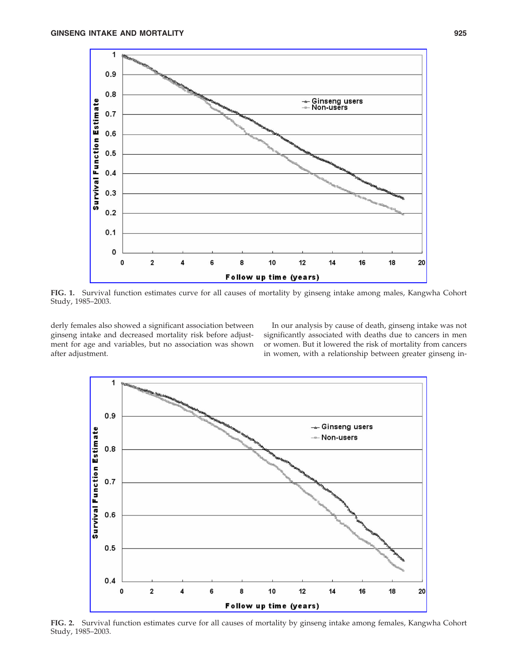

**FIG. 1.** Survival function estimates curve for all causes of mortality by ginseng intake among males, Kangwha Cohort Study, 1985–2003.

derly females also showed a significant association between ginseng intake and decreased mortality risk before adjustment for age and variables, but no association was shown after adjustment.

In our analysis by cause of death, ginseng intake was not significantly associated with deaths due to cancers in men or women. But it lowered the risk of mortality from cancers in women, with a relationship between greater ginseng in-



**FIG. 2.** Survival function estimates curve for all causes of mortality by ginseng intake among females, Kangwha Cohort Study, 1985–2003.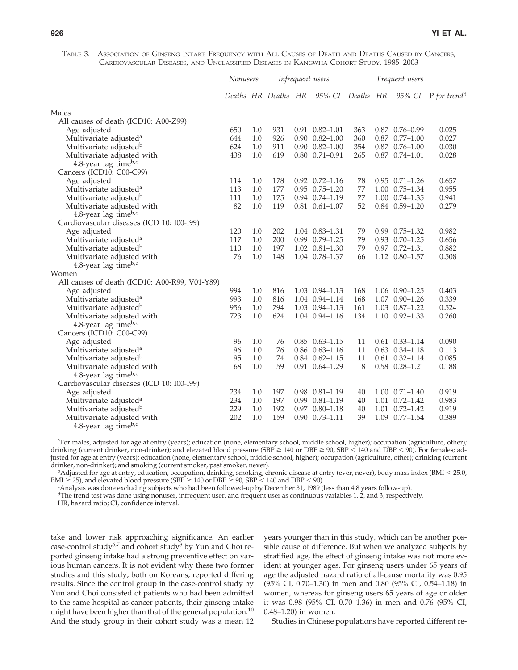| TABLE 3. ASSOCIATION OF GINSENG INTAKE FREQUENCY WITH ALL CAUSES OF DEATH AND DEATHS CAUSED BY CANCERS, |
|---------------------------------------------------------------------------------------------------------|
| CARDIOVASCULAR DISEASES, AND UNCLASSIFIED DISEASES IN KANGWHA COHORT STUDY, 1985–2003                   |

|                                               | Nonusers |     | Infrequent users    |  |                          | Frequent users |  |                          |                                 |
|-----------------------------------------------|----------|-----|---------------------|--|--------------------------|----------------|--|--------------------------|---------------------------------|
|                                               |          |     | Deaths HR Deaths HR |  | 95% CI                   | Deaths HR      |  |                          | 95% CI P for trend <sup>d</sup> |
| Males                                         |          |     |                     |  |                          |                |  |                          |                                 |
| All causes of death (ICD10: A00-Z99)          |          |     |                     |  |                          |                |  |                          |                                 |
| Age adjusted                                  | 650      | 1.0 | 931                 |  | $0.91$ $0.82 - 1.01$     | 363            |  | $0.87$ $0.76 - 0.99$     | 0.025                           |
| Multivariate adjusted <sup>a</sup>            | 644      | 1.0 | 926                 |  | $0.90$ $0.82 - 1.00$     | 360            |  | $0.87$ $0.77 - 1.00$     | 0.027                           |
| Multivariate adjusted <sup>b</sup>            | 624      | 1.0 | 911                 |  | $0.90$ $0.82 - 1.00$     | 354            |  | $0.87$ $0.76 - 1.00$     | 0.030                           |
| Multivariate adjusted with                    | 438      | 1.0 | 619                 |  | $0.80$ $0.71 - 0.91$     | 265            |  | $0.87$ $0.74 - 1.01$     | 0.028                           |
| 4.8-year lag time $b,c$                       |          |     |                     |  |                          |                |  |                          |                                 |
| Cancers (ICD10: C00-C99)                      |          |     |                     |  |                          |                |  |                          |                                 |
| Age adjusted                                  | 114      | 1.0 | 178                 |  | $0.92 \quad 0.72 - 1.16$ | 78             |  | $0.95$ $0.71 - 1.26$     | 0.657                           |
| Multivariate adjusted <sup>a</sup>            | 113      | 1.0 | 177                 |  | $0.95$ $0.75 - 1.20$     | 77             |  | 1.00 0.75-1.34           | 0.955                           |
| Multivariate adjusted <sup>b</sup>            | 111      | 1.0 | 175                 |  | 0.94 0.74-1.19           | 77             |  | $1.00 \quad 0.74 - 1.35$ | 0.941                           |
| Multivariate adjusted with                    | 82       | 1.0 | 119                 |  | $0.81$ $0.61 - 1.07$     | 52             |  | $0.84$ $0.59 - 1.20$     | 0.279                           |
| 4.8-year lag timeb,c                          |          |     |                     |  |                          |                |  |                          |                                 |
| Cardiovascular diseases (ICD 10: I00-I99)     |          |     |                     |  |                          |                |  |                          |                                 |
| Age adjusted                                  | 120      | 1.0 | 202                 |  | 1.04 0.83-1.31           | 79             |  | $0.99$ $0.75 - 1.32$     | 0.982                           |
| Multivariate adjusted <sup>a</sup>            | 117      | 1.0 | 200                 |  | $0.99$ $0.79 - 1.25$     | 79             |  | $0.93$ $0.70 - 1.25$     | 0.656                           |
| Multivariate adjusted <sup>b</sup>            | 110      | 1.0 | 197                 |  | $1.02 \quad 0.81 - 1.30$ | 79             |  | $0.97$ $0.72 - 1.31$     | 0.882                           |
| Multivariate adjusted with                    | 76       | 1.0 | 148                 |  | 1.04 0.78-1.37           | 66             |  | 1.12 0.80-1.57           | 0.508                           |
| 4.8-year lag time $b,c$                       |          |     |                     |  |                          |                |  |                          |                                 |
| Women                                         |          |     |                     |  |                          |                |  |                          |                                 |
| All causes of death (ICD10: A00-R99, V01-Y89) |          |     |                     |  |                          |                |  |                          |                                 |
| Age adjusted                                  | 994      | 1.0 | 816                 |  | 1.03 0.94 - 1.13         | 168            |  | 1.06 0.90 - 1.25         | 0.403                           |
| Multivariate adjusted <sup>a</sup>            | 993      | 1.0 | 816                 |  | 1.04 0.94 - 1.14         | 168            |  | 1.07 0.90-1.26           | 0.339                           |
| Multivariate adjusted <sup>b</sup>            | 956      | 1.0 | 794                 |  | 1.03 0.94 - 1.13         | 161            |  | 1.03 0.87-1.22           | 0.524                           |
| Multivariate adjusted with                    | 723      | 1.0 | 624                 |  | 1.04 0.94 - 1.16         | 134            |  | $1.10 \quad 0.92 - 1.33$ | 0.260                           |
| 4.8-year lag timeb,c                          |          |     |                     |  |                          |                |  |                          |                                 |
| Cancers (ICD10: C00-C99)                      |          |     |                     |  |                          |                |  |                          |                                 |
| Age adjusted                                  | 96       | 1.0 | 76                  |  | $0.85$ $0.63 - 1.15$     | 11             |  | $0.61$ $0.33 - 1.14$     | 0.090                           |
| Multivariate adjusted <sup>a</sup>            | 96       | 1.0 | 76                  |  | $0.86$ $0.63 - 1.16$     | 11             |  | $0.63$ $0.34 - 1.18$     | 0.113                           |
| Multivariate adjusted <sup>b</sup>            | 95       | 1.0 | 74                  |  | $0.84$ $0.62 - 1.15$     | 11             |  | $0.61$ $0.32 - 1.14$     | 0.085                           |
| Multivariate adjusted with                    | 68       | 1.0 | 59                  |  | $0.91$ $0.64 - 1.29$     | 8              |  | $0.58$ $0.28 - 1.21$     | 0.188                           |
| 4.8-year lag timeb,c                          |          |     |                     |  |                          |                |  |                          |                                 |
| Cardiovascular diseases (ICD 10: I00-I99)     |          |     |                     |  |                          |                |  |                          |                                 |
| Age adjusted                                  | 234      | 1.0 | 197                 |  | $0.98$ $0.81 - 1.19$     | 40             |  | $1.00 \quad 0.71 - 1.40$ | 0.919                           |
| Multivariate adjusted <sup>a</sup>            | 234      | 1.0 | 197                 |  | $0.99$ $0.81 - 1.19$     | 40             |  | 1.01 0.72-1.42           | 0.983                           |
| Multivariate adjusted <sup>b</sup>            | 229      | 1.0 | 192                 |  | $0.97$ $0.80 - 1.18$     | 40             |  | 1.01 0.72-1.42           | 0.919                           |
| Multivariate adjusted with                    | 202      | 1.0 | 159                 |  | $0.90$ $0.73 - 1.11$     | 39             |  | 1.09 0.77-1.54           | 0.389                           |
| 4.8-year lag time $b,c$                       |          |     |                     |  |                          |                |  |                          |                                 |

<sup>a</sup> For males, adjusted for age at entry (years); education (none, elementary school, middle school, higher); occupation (agriculture, other); drinking (current drinker, non-drinker); and elevated blood pressure (SBP  $\geq$  140 or DBP  $\geq$  90, SBP  $\leq$  140 and DBP  $\lt$  90). For females; adjusted for age at entry (years); education (none, elementary school, middle school, higher); occupation (agriculture, other); drinking (current

drinker, non-drinker); and smoking (current smoker, past smoker, never).<br><sup>b</sup>Adjusted for age at entry, education, occupation, drinking, smoking, chronic disease at entry (ever, never), body mass index (BMI < 25.0, BMI  $\geq$  25), and elevated blood pressure (SBP  $\geq$  140 or DBP  $\geq$  90, SBP  $\leq$  140 and DBP  $<$  90).

Analysis was done excluding subjects who had been followed-up by December 31, 1989 (less than 4.8 years follow-up).

 $d$ The trend test was done using nonuser, infrequent user, and frequent user as continuous variables 1, 2, and 3, respectively.

HR, hazard ratio; CI, confidence interval.

take and lower risk approaching significance. An earlier case-control study<sup>6,7</sup> and cohort study<sup>8</sup> by Yun and Choi reported ginseng intake had a strong preventive effect on various human cancers. It is not evident why these two former studies and this study, both on Koreans, reported differing results. Since the control group in the case-control study by Yun and Choi consisted of patients who had been admitted to the same hospital as cancer patients, their ginseng intake might have been higher than that of the general population.<sup>10</sup> And the study group in their cohort study was a mean 12

years younger than in this study, which can be another possible cause of difference. But when we analyzed subjects by stratified age, the effect of ginseng intake was not more evident at younger ages. For ginseng users under 65 years of age the adjusted hazard ratio of all-cause mortality was 0.95 (95% CI, 0.70–1.30) in men and 0.80 (95% CI, 0.54–1.18) in women, whereas for ginseng users 65 years of age or older it was 0.98 (95% CI, 0.70–1.36) in men and 0.76 (95% CI, 0.48–1.20) in women.

Studies in Chinese populations have reported different re-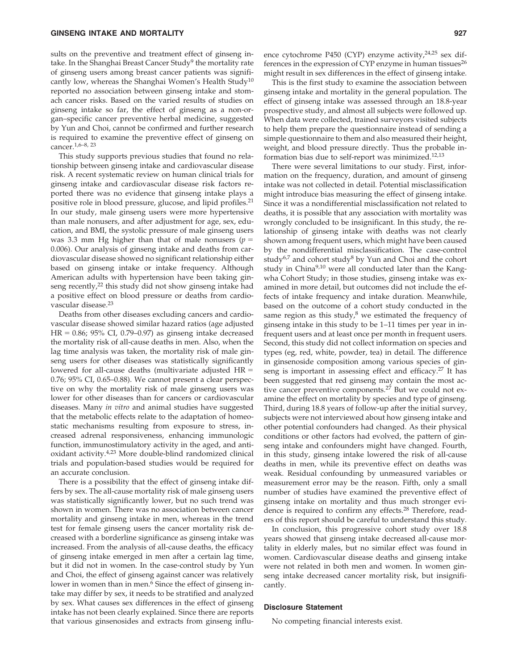sults on the preventive and treatment effect of ginseng intake. In the Shanghai Breast Cancer Study<sup>9</sup> the mortality rate of ginseng users among breast cancer patients was significantly low, whereas the Shanghai Women's Health Study<sup>10</sup> reported no association between ginseng intake and stomach cancer risks. Based on the varied results of studies on ginseng intake so far, the effect of ginseng as a non-organ–specific cancer preventive herbal medicine, suggested by Yun and Choi, cannot be confirmed and further research is required to examine the preventive effect of ginseng on cancer.1,6–8, 23

This study supports previous studies that found no relationship between ginseng intake and cardiovascular disease risk. A recent systematic review on human clinical trials for ginseng intake and cardiovascular disease risk factors reported there was no evidence that ginseng intake plays a positive role in blood pressure, glucose, and lipid profiles.<sup>21</sup> In our study, male ginseng users were more hypertensive than male nonusers, and after adjustment for age, sex, education, and BMI, the systolic pressure of male ginseng users was 3.3 mm Hg higher than that of male nonusers  $(p =$ 0.006). Our analysis of ginseng intake and deaths from cardiovascular disease showed no significant relationship either based on ginseng intake or intake frequency. Although American adults with hypertension have been taking ginseng recently,<sup>22</sup> this study did not show ginseng intake had a positive effect on blood pressure or deaths from cardiovascular disease.<sup>23</sup>

Deaths from other diseases excluding cancers and cardiovascular disease showed similar hazard ratios (age adjusted  $HR = 0.86$ ; 95% CI, 0.79–0.97) as ginseng intake decreased the mortality risk of all-cause deaths in men. Also, when the lag time analysis was taken, the mortality risk of male ginseng users for other diseases was statistically significantly lowered for all-cause deaths (multivariate adjusted  $HR =$ 0.76; 95% CI, 0.65–0.88). We cannot present a clear perspective on why the mortality risk of male ginseng users was lower for other diseases than for cancers or cardiovascular diseases. Many *in vitro* and animal studies have suggested that the metabolic effects relate to the adaptation of homeostatic mechanisms resulting from exposure to stress, increased adrenal responsiveness, enhancing immunologic function, immunostimulatory activity in the aged, and antioxidant activity.4,23 More double-blind randomized clinical trials and population-based studies would be required for an accurate conclusion.

There is a possibility that the effect of ginseng intake differs by sex. The all-cause mortality risk of male ginseng users was statistically significantly lower, but no such trend was shown in women. There was no association between cancer mortality and ginseng intake in men, whereas in the trend test for female ginseng users the cancer mortality risk decreased with a borderline significance as ginseng intake was increased. From the analysis of all-cause deaths, the efficacy of ginseng intake emerged in men after a certain lag time, but it did not in women. In the case-control study by Yun and Choi, the effect of ginseng against cancer was relatively lower in women than in men.<sup>6</sup> Since the effect of ginseng intake may differ by sex, it needs to be stratified and analyzed by sex. What causes sex differences in the effect of ginseng intake has not been clearly explained. Since there are reports that various ginsenosides and extracts from ginseng influence cytochrome P450 (CYP) enzyme activity, $24,25$  sex differences in the expression of CYP enzyme in human tissues<sup>26</sup> might result in sex differences in the effect of ginseng intake.

This is the first study to examine the association between ginseng intake and mortality in the general population. The effect of ginseng intake was assessed through an 18.8-year prospective study, and almost all subjects were followed up. When data were collected, trained surveyors visited subjects to help them prepare the questionnaire instead of sending a simple questionnaire to them and also measured their height, weight, and blood pressure directly. Thus the probable information bias due to self-report was minimized.12,13

There were several limitations to our study. First, information on the frequency, duration, and amount of ginseng intake was not collected in detail. Potential misclassification might introduce bias measuring the effect of ginseng intake. Since it was a nondifferential misclassification not related to deaths, it is possible that any association with mortality was wrongly concluded to be insignificant. In this study, the relationship of ginseng intake with deaths was not clearly shown among frequent users, which might have been caused by the nondifferential misclassification. The case-control study<sup>6,7</sup> and cohort study<sup>8</sup> by Yun and Choi and the cohort study in China $9,10$  were all conducted later than the Kangwha Cohort Study; in those studies, ginseng intake was examined in more detail, but outcomes did not include the effects of intake frequency and intake duration. Meanwhile, based on the outcome of a cohort study conducted in the same region as this study, $8$  we estimated the frequency of ginseng intake in this study to be 1–11 times per year in infrequent users and at least once per month in frequent users. Second, this study did not collect information on species and types (eg, red, white, powder, tea) in detail. The difference in ginsenoside composition among various species of ginseng is important in assessing effect and efficacy.<sup>27</sup> It has been suggested that red ginseng may contain the most active cancer preventive components.<sup>27</sup> But we could not examine the effect on mortality by species and type of ginseng. Third, during 18.8 years of follow-up after the initial survey, subjects were not interviewed about how ginseng intake and other potential confounders had changed. As their physical conditions or other factors had evolved, the pattern of ginseng intake and confounders might have changed. Fourth, in this study, ginseng intake lowered the risk of all-cause deaths in men, while its preventive effect on deaths was weak. Residual confounding by unmeasured variables or measurement error may be the reason. Fifth, only a small number of studies have examined the preventive effect of ginseng intake on mortality and thus much stronger evidence is required to confirm any effects.<sup>28</sup> Therefore, readers of this report should be careful to understand this study.

In conclusion, this progressive cohort study over 18.8 years showed that ginseng intake decreased all-cause mortality in elderly males, but no similar effect was found in women. Cardiovascular disease deaths and ginseng intake were not related in both men and women. In women ginseng intake decreased cancer mortality risk, but insignificantly.

#### **Disclosure Statement**

No competing financial interests exist.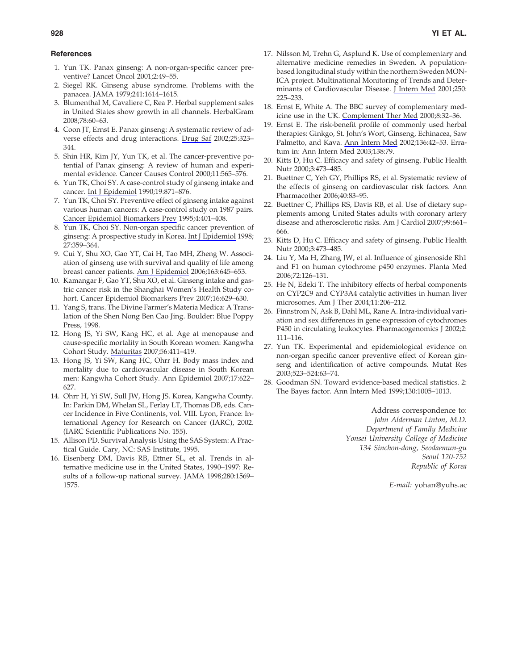## **References**

- 1. Yun TK. Panax ginseng: A non-organ-specific cancer preventive? Lancet Oncol 2001;2:49–55.
- 2. Siegel RK. Ginseng abuse syndrome. Problems with the panacea. [JAMA](http://online.liebertpub.com/action/showLinks?pmid=430716&crossref=10.1001%2Fjama.241.15.1614) 1979;241:1614–1615.
- 3. Blumenthal M, Cavaliere C, Rea P. Herbal supplement sales in United States show growth in all channels. HerbalGram 2008;78:60–63.
- 4. Coon JT, Ernst E. Panax ginseng: A systematic review of adverse effects and drug interactions. [Drug Saf](http://online.liebertpub.com/action/showLinks?pmid=12020172&crossref=10.2165%2F00002018-200225050-00003) 2002;25:323– 344.
- 5. Shin HR, Kim JY, Yun TK, et al. The cancer-preventive potential of Panax ginseng: A review of human and experimental evidence. [Cancer Causes Control](http://online.liebertpub.com/action/showLinks?pmid=10880039&crossref=10.1023%2FA%3A1008980200583) 2000;11:565–576.
- 6. Yun TK, Choi SY. A case-control study of ginseng intake and cancer. [Int J Epidemiol](http://online.liebertpub.com/action/showLinks?pmid=2084014&crossref=10.1093%2Fije%2F19.4.871) 1990;19:871–876.
- 7. Yun TK, Choi SY. Preventive effect of ginseng intake against various human cancers: A case-control study on 1987 pairs. [Cancer Epidemiol Biomarkers Prev](http://online.liebertpub.com/action/showLinks?pmid=7655337) 1995;4:401–408.
- 8. Yun TK, Choi SY. Non-organ specific cancer prevention of ginseng: A prospective study in Korea. [Int J Epidemiol](http://online.liebertpub.com/action/showLinks?pmid=9698120&crossref=10.1093%2Fije%2F27.3.359) 1998; 27:359–364.
- 9. Cui Y, Shu XO, Gao YT, Cai H, Tao MH, Zheng W. Association of ginseng use with survival and quality of life among breast cancer patients. [Am J Epidemiol](http://online.liebertpub.com/action/showLinks?pmid=16484447&crossref=10.1093%2Faje%2Fkwj087) 2006;163:645–653.
- 10. Kamangar F, Gao YT, Shu XO, et al. Ginseng intake and gastric cancer risk in the Shanghai Women's Health Study cohort. Cancer Epidemiol Biomarkers Prev 2007;16:629–630.
- 11. Yang S, trans. The Divine Farmer's Materia Medica: A Translation of the Shen Nong Ben Cao Jing. Boulder: Blue Poppy Press, 1998.
- 12. Hong JS, Yi SW, Kang HC, et al. Age at menopause and cause-specific mortality in South Korean women: Kangwha Cohort Study. [Maturitas](http://online.liebertpub.com/action/showLinks?pmid=17161927&crossref=10.1016%2Fj.maturitas.2006.11.004) 2007;56:411–419.
- 13. Hong JS, Yi SW, Kang HC, Ohrr H. Body mass index and mortality due to cardiovascular disease in South Korean men: Kangwha Cohort Study. Ann Epidemiol 2007;17:622– 627.
- 14. Ohrr H, Yi SW, Sull JW, Hong JS. Korea, Kangwha County. In: Parkin DM, Whelan SL, Ferlay LT, Thomas DB, eds. Cancer Incidence in Five Continents, vol. VIII. Lyon, France: International Agency for Research on Cancer (IARC), 2002. (IARC Scientific Publications No. 155).
- 15. Allison PD. Survival Analysis Using the SAS System: A Practical Guide. Cary, NC: SAS Institute, 1995.
- 16. Eisenberg DM, Davis RB, Ettner SL, et al. Trends in alternative medicine use in the United States, 1990–1997: Results of a follow-up national survey. [JAMA](http://online.liebertpub.com/action/showLinks?pmid=9820257&crossref=10.1001%2Fjama.280.18.1569) 1998;280:1569– 1575.
- 17. Nilsson M, Trehn G, Asplund K. Use of complementary and alternative medicine remedies in Sweden. A populationbased longitudinal study within the northern Sweden MON-ICA project. Multinational Monitoring of Trends and Determinants of Cardiovascular Disease. [J Intern Med](http://online.liebertpub.com/action/showLinks?pmid=11555127&crossref=10.1046%2Fj.1365-2796.2001.00882.x) 2001;250: 225–233.
- 18. Ernst E, White A. The BBC survey of complementary medicine use in the UK. [Complement Ther Med](http://online.liebertpub.com/action/showLinks?pmid=10812758&crossref=10.1054%2Fctim.2000.0341) 2000;8:32–36.
- 19. Ernst E. The risk-benefit profile of commonly used herbal therapies: Ginkgo, St. John's Wort, Ginseng, Echinacea, Saw Palmetto, and Kava. [Ann Intern Med](http://online.liebertpub.com/action/showLinks?pmid=11777363) 2002;136:42–53. Erratum in: Ann Intern Med 2003;138:79.
- 20. Kitts D, Hu C. Efficacy and safety of ginseng. Public Health Nutr 2000;3:473–485.
- 21. Buettner C, Yeh GY, Phillips RS, et al. Systematic review of the effects of ginseng on cardiovascular risk factors. Ann Pharmacother 2006;40:83–95.
- 22. Buettner C, Phillips RS, Davis RB, et al. Use of dietary supplements among United States adults with coronary artery disease and atherosclerotic risks. Am J Cardiol 2007;99:661– 666.
- 23. Kitts D, Hu C. Efficacy and safety of ginseng. Public Health Nutr 2000;3:473–485.
- 24. Liu Y, Ma H, Zhang JW, et al. Influence of ginsenoside Rh1 and F1 on human cytochrome p450 enzymes. Planta Med 2006;72:126–131.
- 25. He N, Edeki T. The inhibitory effects of herbal components on CYP2C9 and CYP3A4 catalytic activities in human liver microsomes. Am J Ther 2004;11:206–212.
- 26. Finnstrom N, Ask B, Dahl ML, Rane A. Intra-individual variation and sex differences in gene expression of cytochromes P450 in circulating leukocytes. Pharmacogenomics J 2002;2: 111–116.
- 27. Yun TK. Experimental and epidemiological evidence on non-organ specific cancer preventive effect of Korean ginseng and identification of active compounds. Mutat Res 2003;523–524:63–74.
- 28. Goodman SN. Toward evidence-based medical statistics. 2: The Bayes factor. Ann Intern Med 1999;130:1005–1013.

Address correspondence to: *John Alderman Linton, M.D. Department of Family Medicine Yonsei University College of Medicine 134 Sinchon-dong, Seodaemun-gu Seoul 120-752 Republic of Korea*

*E-mail:* yohan@yuhs.ac